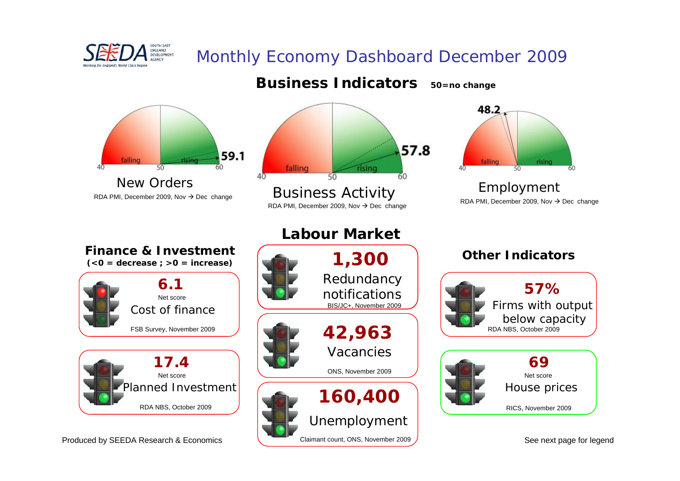

# Monthly Economy Dashboard December 2009



Claimant count, ONS, November 2009

Produced by SEEDA Research & Economics

See next page for legend